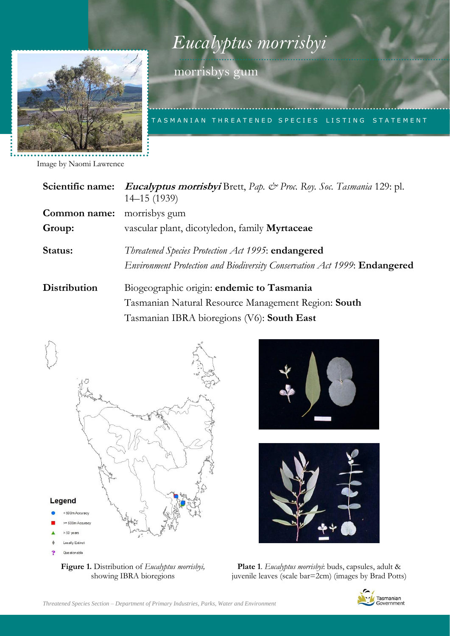



morrisbys gum

TA S M A N I A N T H R E A T E N E D S P E CIES LISTING STATEMENT

Image by Naomi Lawrence

| Scientific name:    | <i>Eucalyptus morrisbyi</i> Brett, Pap. & Proc. Roy. Soc. Tasmania 129: pl.<br>$14 - 15(1939)$                                                 |
|---------------------|------------------------------------------------------------------------------------------------------------------------------------------------|
| Common name:        | morrisbys gum                                                                                                                                  |
| Group:              | vascular plant, dicotyledon, family Myrtaceae                                                                                                  |
| Status:             | Threatened Species Protection Act 1995: endangered<br>Environment Protection and Biodiversity Conservation Act 1999: Endangered                |
| <b>Distribution</b> | Biogeographic origin: endemic to Tasmania<br>Tasmanian Natural Resource Management Region: South<br>Tasmanian IBRA bioregions (V6): South East |









**Plate 1**. *Eucalyptus morrisbyi*: buds, capsules, adult & juvenile leaves (scale bar=2cm) (images by Brad Potts)

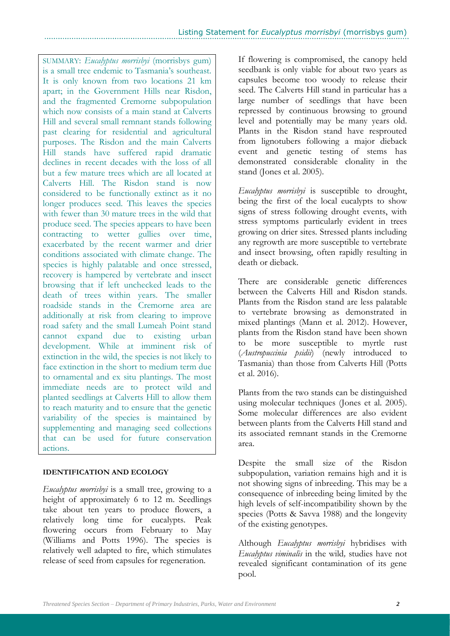SUMMARY: *Eucalyptus morrisbyi* (morrisbys gum) is a small tree endemic to Tasmania's southeast. It is only known from two locations 21 km apart; in the Government Hills near Risdon, and the fragmented Cremorne subpopulation which now consists of a main stand at Calverts Hill and several small remnant stands following past clearing for residential and agricultural purposes. The Risdon and the main Calverts Hill stands have suffered rapid dramatic declines in recent decades with the loss of all but a few mature trees which are all located at Calverts Hill. The Risdon stand is now considered to be functionally extinct as it no longer produces seed. This leaves the species with fewer than 30 mature trees in the wild that produce seed. The species appears to have been contracting to wetter gullies over time, exacerbated by the recent warmer and drier conditions associated with climate change. The species is highly palatable and once stressed, recovery is hampered by vertebrate and insect browsing that if left unchecked leads to the death of trees within years. The smaller roadside stands in the Cremorne area are additionally at risk from clearing to improve road safety and the small Lumeah Point stand cannot expand due to existing urban development. While at imminent risk of extinction in the wild, the species is not likely to face extinction in the short to medium term due to ornamental and ex situ plantings. The most immediate needs are to protect wild and planted seedlings at Calverts Hill to allow them to reach maturity and to ensure that the genetic variability of the species is maintained by supplementing and managing seed collections that can be used for future conservation actions.

## **IDENTIFICATION AND ECOLOGY**

*Eucalyptus morrisbyi* is a small tree, growing to a height of approximately 6 to 12 m. Seedlings take about ten years to produce flowers, a relatively long time for eucalypts. Peak flowering occurs from February to May (Williams and Potts 1996). The species is relatively well adapted to fire, which stimulates release of seed from capsules for regeneration.

If flowering is compromised, the canopy held seedbank is only viable for about two years as capsules become too woody to release their seed. The Calverts Hill stand in particular has a large number of seedlings that have been repressed by continuous browsing to ground level and potentially may be many years old. Plants in the Risdon stand have resprouted from lignotubers following a major dieback event and genetic testing of stems has demonstrated considerable clonality in the stand (Jones et al. 2005).

*Eucalyptus morrisbyi* is susceptible to drought, being the first of the local eucalypts to show signs of stress following drought events, with stress symptoms particularly evident in trees growing on drier sites. Stressed plants including any regrowth are more susceptible to vertebrate and insect browsing, often rapidly resulting in death or dieback.

There are considerable genetic differences between the Calverts Hill and Risdon stands. Plants from the Risdon stand are less palatable to vertebrate browsing as demonstrated in mixed plantings (Mann et al. 2012). However, plants from the Risdon stand have been shown to be more susceptible to myrtle rust (*Austropuccinia psidii*) (newly introduced to Tasmania) than those from Calverts Hill (Potts et al. 2016).

Plants from the two stands can be distinguished using molecular techniques (Jones et al. 2005). Some molecular differences are also evident between plants from the Calverts Hill stand and its associated remnant stands in the Cremorne area.

Despite the small size of the Risdon subpopulation, variation remains high and it is not showing signs of inbreeding. This may be a consequence of inbreeding being limited by the high levels of self-incompatibility shown by the species (Potts & Savva 1988) and the longevity of the existing genotypes.

Although *Eucalyptus morrisbyi* hybridises with *Eucalyptus viminalis* in the wild*,* studies have not revealed significant contamination of its gene pool.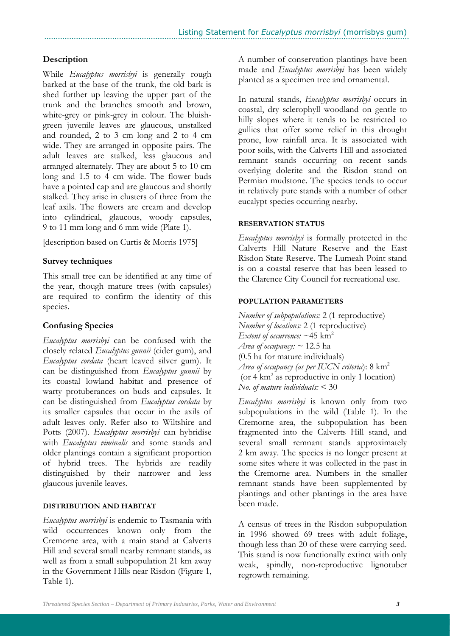# **Description**

While *Eucalyptus morrisbyi* is generally rough barked at the base of the trunk, the old bark is shed further up leaving the upper part of the trunk and the branches smooth and brown, white-grey or pink-grey in colour. The bluishgreen juvenile leaves are glaucous, unstalked and rounded, 2 to 3 cm long and 2 to 4 cm wide. They are arranged in opposite pairs. The adult leaves are stalked, less glaucous and arranged alternately. They are about 5 to 10 cm long and 1.5 to 4 cm wide. The flower buds have a pointed cap and are glaucous and shortly stalked. They arise in clusters of three from the leaf axils. The flowers are cream and develop into cylindrical, glaucous, woody capsules, 9 to 11 mm long and 6 mm wide (Plate 1).

[description based on Curtis & Morris 1975]

## **Survey techniques**

This small tree can be identified at any time of the year, though mature trees (with capsules) are required to confirm the identity of this species.

# **Confusing Species**

*Eucalyptus morrisbyi* can be confused with the closely related *Eucalyptus gunnii* (cider gum), and *Eucalyptus cordata* (heart leaved silver gum). It can be distinguished from *Eucalyptus gunnii* by its coastal lowland habitat and presence of warty protuberances on buds and capsules. It can be distinguished from *Eucalyptus cordata* by its smaller capsules that occur in the axils of adult leaves only. Refer also to Wiltshire and Potts (2007). *Eucalyptus morrisbyi* can hybridise with *Eucalyptus viminalis* and some stands and older plantings contain a significant proportion of hybrid trees. The hybrids are readily distinguished by their narrower and less glaucous juvenile leaves.

## **DISTRIBUTION AND HABITAT**

*Eucalyptus morrisbyi* is endemic to Tasmania with wild occurrences known only from the Cremorne area, with a main stand at Calverts Hill and several small nearby remnant stands, as well as from a small subpopulation 21 km away in the Government Hills near Risdon (Figure 1, Table 1).

A number of conservation plantings have been made and *Eucalyptus morrisbyi* has been widely planted as a specimen tree and ornamental.

In natural stands, *Eucalyptus morrisbyi* occurs in coastal, dry sclerophyll woodland on gentle to hilly slopes where it tends to be restricted to gullies that offer some relief in this drought prone, low rainfall area. It is associated with poor soils, with the Calverts Hill and associated remnant stands occurring on recent sands overlying dolerite and the Risdon stand on Permian mudstone. The species tends to occur in relatively pure stands with a number of other eucalypt species occurring nearby.

## **RESERVATION STATUS**

*Eucalyptus morrisbyi* is formally protected in the Calverts Hill Nature Reserve and the East Risdon State Reserve. The Lumeah Point stand is on a coastal reserve that has been leased to the Clarence City Council for recreational use.

## **POPULATION PARAMETERS**

*Number of subpopulations:* 2 (1 reproductive) *Number of locations:* 2 (1 reproductive) *Extent of occurrence:*  $\sim$  45 km<sup>2</sup> *Area of occupancy: ~* 12.5 ha (0.5 ha for mature individuals) *Area of occupancy (as per IUCN criteria*): 8 km<sup>2</sup> (or 4 km<sup>2</sup> as reproductive in only 1 location) *No. of mature individuals:* < 30

*Eucalyptus morrisbyi* is known only from two subpopulations in the wild (Table 1). In the Cremorne area, the subpopulation has been fragmented into the Calverts Hill stand, and several small remnant stands approximately 2 km away. The species is no longer present at some sites where it was collected in the past in the Cremorne area. Numbers in the smaller remnant stands have been supplemented by plantings and other plantings in the area have been made.

A census of trees in the Risdon subpopulation in 1996 showed 69 trees with adult foliage, though less than 20 of these were carrying seed. This stand is now functionally extinct with only weak, spindly, non-reproductive lignotuber regrowth remaining.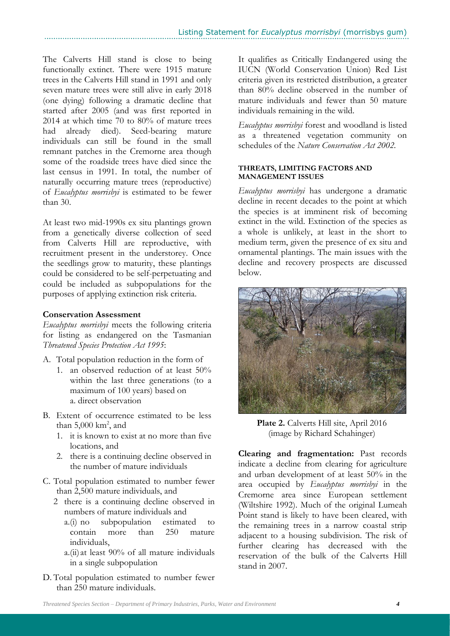The Calverts Hill stand is close to being functionally extinct. There were 1915 mature trees in the Calverts Hill stand in 1991 and only seven mature trees were still alive in early 2018 (one dying) following a dramatic decline that started after 2005 (and was first reported in 2014 at which time 70 to 80% of mature trees had already died). Seed-bearing mature individuals can still be found in the small remnant patches in the Cremorne area though some of the roadside trees have died since the last census in 1991. In total, the number of naturally occurring mature trees (reproductive) of *Eucalyptus morrisbyi* is estimated to be fewer than 30.

At least two mid-1990s ex situ plantings grown from a genetically diverse collection of seed from Calverts Hill are reproductive, with recruitment present in the understorey. Once the seedlings grow to maturity, these plantings could be considered to be self-perpetuating and could be included as subpopulations for the purposes of applying extinction risk criteria.

## **Conservation Assessment**

*Eucalyptus morrisbyi* meets the following criteria for listing as endangered on the Tasmanian *Threatened Species Protection Act 1995*:

- A. Total population reduction in the form of
	- 1. an observed reduction of at least 50% within the last three generations (to a maximum of 100 years) based on a. direct observation
- B. Extent of occurrence estimated to be less than  $5,000 \text{ km}^2$ , and
	- 1. it is known to exist at no more than five locations, and
	- 2. there is a continuing decline observed in the number of mature individuals
- C. Total population estimated to number fewer than 2,500 mature individuals, and
	- 2 there is a continuing decline observed in numbers of mature individuals and
		- a.(i) no subpopulation estimated to contain more than 250 mature individuals,
		- a.(ii) at least 90% of all mature individuals in a single subpopulation
- D. Total population estimated to number fewer than 250 mature individuals.

It qualifies as Critically Endangered using the IUCN (World Conservation Union) Red List criteria given its restricted distribution, a greater than 80% decline observed in the number of mature individuals and fewer than 50 mature individuals remaining in the wild.

*Eucalyptus morrisbyi* forest and woodland is listed as a threatened vegetation community on schedules of the *Nature Conservation Act 2002.*

#### **THREATS, LIMITING FACTORS AND MANAGEMENT ISSUES**

*Eucalyptus morrisbyi* has undergone a dramatic decline in recent decades to the point at which the species is at imminent risk of becoming extinct in the wild. Extinction of the species as a whole is unlikely, at least in the short to medium term, given the presence of ex situ and ornamental plantings. The main issues with the decline and recovery prospects are discussed below.



**Plate 2.** Calverts Hill site, April 2016 (image by Richard Schahinger)

**Clearing and fragmentation:** Past records indicate a decline from clearing for agriculture and urban development of at least 50% in the area occupied by *Eucalyptus morrisbyi* in the Cremorne area since European settlement (Wiltshire 1992). Much of the original Lumeah Point stand is likely to have been cleared, with the remaining trees in a narrow coastal strip adjacent to a housing subdivision. The risk of further clearing has decreased with the reservation of the bulk of the Calverts Hill stand in 2007.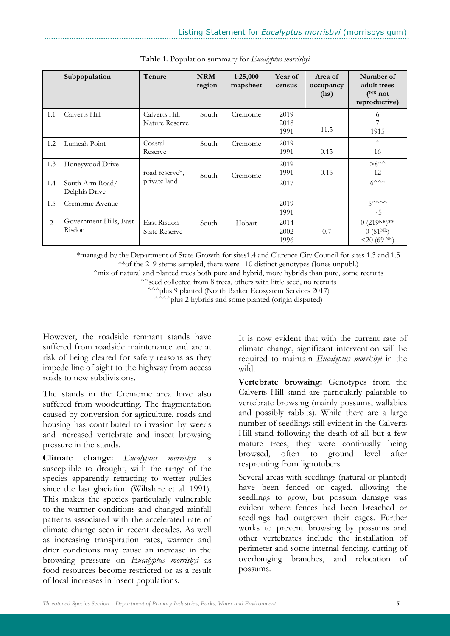|     | Subpopulation                    | Tenure                              | <b>NRM</b><br>region | 1:25,000<br>mapsheet | Year of<br>census    | Area of<br>occupancy<br>(ha) | Number of<br>adult trees<br>$(^{NR}$ not<br>reproductive) |
|-----|----------------------------------|-------------------------------------|----------------------|----------------------|----------------------|------------------------------|-----------------------------------------------------------|
| 1.1 | Calverts Hill                    | Calverts Hill<br>Nature Reserve     | South                | Cremorne             | 2019<br>2018<br>1991 | 11.5                         | 6<br>7<br>1915                                            |
| 1.2 | Lumeah Point                     | Coastal<br>Reserve                  | South                | Cremorne             | 2019<br>1991         | 0.15                         | $\wedge$<br>16                                            |
| 1.3 | Honeywood Drive                  | road reserve*,<br>private land      | South                | Cremorne             | 2019<br>1991         | 0.15                         | $>8^{\wedge\wedge}$<br>12                                 |
| 1.4 | South Arm Road/<br>Delphis Drive |                                     |                      |                      | 2017                 |                              | $6^{\wedge\wedge\wedge}$                                  |
| 1.5 | Cremorne Avenue                  |                                     |                      |                      | 2019<br>1991         |                              | $5^{\wedge\wedge\wedge\wedge}$<br>~1                      |
| 2   | Government Hills, East<br>Risdon | East Risdon<br><b>State Reserve</b> | South                | Hobart               | 2014<br>2002<br>1996 | 0.7                          | $(0.219NR)**$<br>0(81 <sup>NR</sup> )<br>$<$ 20 (69 NR)   |

**Table 1.** Population summary for *Eucalyptus morrisbyi*

\*managed by the Department of State Growth for sites1.4 and Clarence City Council for sites 1.3 and 1.5 \*\*of the 219 stems sampled, there were 110 distinct genotypes (Jones unpubl.)

^mix of natural and planted trees both pure and hybrid, more hybrids than pure, some recruits

^^seed collected from 8 trees, others with little seed, no recruits

^^^plus 9 planted (North Barker Ecosystem Services 2017)

^^^^plus 2 hybrids and some planted (origin disputed)

However, the roadside remnant stands have suffered from roadside maintenance and are at risk of being cleared for safety reasons as they impede line of sight to the highway from access roads to new subdivisions.

The stands in the Cremorne area have also suffered from woodcutting. The fragmentation caused by conversion for agriculture, roads and housing has contributed to invasion by weeds and increased vertebrate and insect browsing pressure in the stands.

**Climate change:** *Eucalyptus morrisbyi* is susceptible to drought, with the range of the species apparently retracting to wetter gullies since the last glaciation (Wiltshire et al. 1991). This makes the species particularly vulnerable to the warmer conditions and changed rainfall patterns associated with the accelerated rate of climate change seen in recent decades. As well as increasing transpiration rates, warmer and drier conditions may cause an increase in the browsing pressure on *Eucalyptus morrisbyi* as food resources become restricted or as a result of local increases in insect populations.

It is now evident that with the current rate of climate change, significant intervention will be required to maintain *Eucalyptus morrisbyi* in the wild.

**Vertebrate browsing:** Genotypes from the Calverts Hill stand are particularly palatable to vertebrate browsing (mainly possums, wallabies and possibly rabbits). While there are a large number of seedlings still evident in the Calverts Hill stand following the death of all but a few mature trees, they were continually being browsed, often to ground level after resprouting from lignotubers.

Several areas with seedlings (natural or planted) have been fenced or caged, allowing the seedlings to grow, but possum damage was evident where fences had been breached or seedlings had outgrown their cages. Further works to prevent browsing by possums and other vertebrates include the installation of perimeter and some internal fencing, cutting of overhanging branches, and relocation of possums.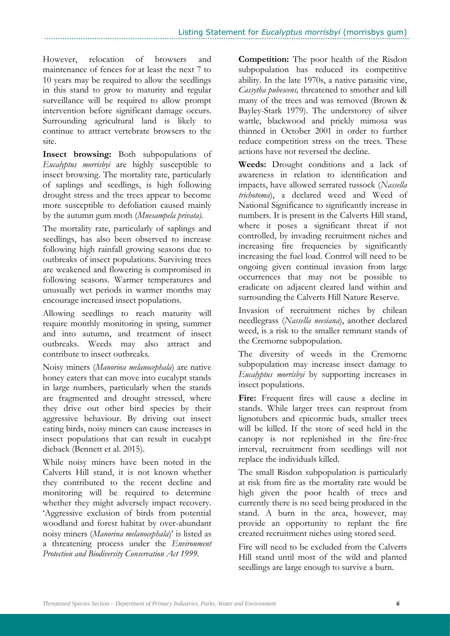However, relocation of browsers and maintenance of fences for at least the next 7 to 10 years may be required to allow the seedlings in this stand to grow to maturity and regular surveillance will be required to allow prompt intervention before significant damage occurs. Surrounding agricultural land is likely to continue to attract vertebrate browsers to the site.

**Insect browsing:** Both subpopulations of *Eucalyptus morrisbyi* are highly susceptible to insect browsing. The mortality rate, particularly of saplings and seedlings, is high following drought stress and the trees appear to become more susceptible to defoliation caused mainly by the autumn gum moth (*Mnesampela privata).*

The mortality rate, particularly of saplings and seedlings, has also been observed to increase following high rainfall growing seasons due to outbreaks of insect populations. Surviving trees are weakened and flowering is compromised in following seasons. Warmer temperatures and unusually wet periods in warmer months may encourage increased insect populations.

Allowing seedlings to reach maturity will require monthly monitoring in spring, summer and into autumn, and treatment of insect outbreaks. Weeds may also attract and contribute to insect outbreaks.

Noisy miners (*Manorina melanocephala*) are native honey eaters that can move into eucalypt stands in large numbers, particularly when the stands are fragmented and drought stressed, where they drive out other bird species by their aggressive behaviour. By driving out insect eating birds, noisy miners can cause increases in insect populations that can result in eucalypt dieback (Bennett et al. 2015).

While noisy miners have been noted in the Calverts Hill stand, it is not known whether they contributed to the recent decline and monitoring will be required to determine whether they might adversely impact recovery. 'Aggressive exclusion of birds from potential woodland and forest habitat by over-abundant noisy miners (*Manorina melanocephala*)' is listed as a threatening process under the *Environment Protection and Biodiversity Conservation Act 1999.*

**Competition:** The poor health of the Risdon subpopulation has reduced its competitive ability. In the late 1970s, a native parasitic vine, *Cassytha pubescens,* threatened to smother and kill many of the trees and was removed (Brown & Bayley-Stark 1979). The understorey of silver wattle, blackwood and prickly mimosa was thinned in October 2001 in order to further reduce competition stress on the trees. These actions have not reversed the decline.

**Weeds:** Drought conditions and a lack of awareness in relation to identification and impacts, have allowed serrated tussock (*Nassella trichotoma*), a declared weed and Weed of National Significance to significantly increase in numbers. It is present in the Calverts Hill stand, where it poses a significant threat if not controlled, by invading recruitment niches and increasing fire frequencies by significantly increasing the fuel load. Control will need to be ongoing given continual invasion from large occurrences that may not be possible to eradicate on adjacent cleared land within and surrounding the Calverts Hill Nature Reserve.

Invasion of recruitment niches by chilean needlegrass (*Nassella neesiana*), another declared weed, is a risk to the smaller remnant stands of the Cremorne subpopulation.

The diversity of weeds in the Cremorne subpopulation may increase insect damage to *Eucalyptus morrisbyi* by supporting increases in insect populations.

**Fire:** Frequent fires will cause a decline in stands. While larger trees can resprout from lignotubers and epicormic buds, smaller trees will be killed. If the store of seed held in the canopy is not replenished in the fire-free interval, recruitment from seedlings will not replace the individuals killed.

The small Risdon subpopulation is particularly at risk from fire as the mortality rate would be high given the poor health of trees and currently there is no seed being produced in the stand. A burn in the area, however, may provide an opportunity to replant the fire created recruitment niches using stored seed.

Fire will need to be excluded from the Calverts Hill stand until most of the wild and planted seedlings are large enough to survive a burn.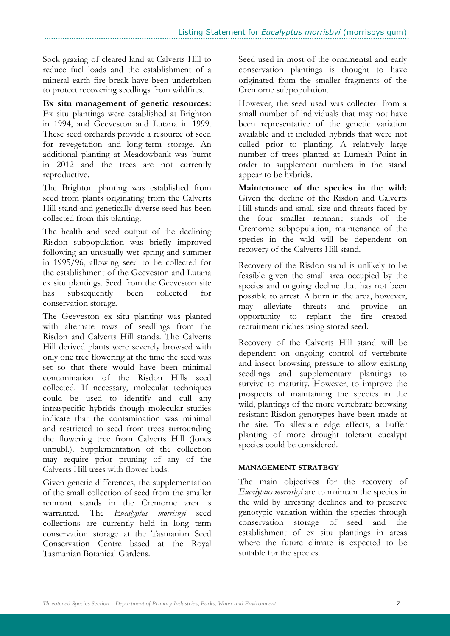Sock grazing of cleared land at Calverts Hill to reduce fuel loads and the establishment of a mineral earth fire break have been undertaken to protect recovering seedlings from wildfires.

**Ex situ management of genetic resources:** Ex situ plantings were established at Brighton in 1994, and Geeveston and Lutana in 1999. These seed orchards provide a resource of seed for revegetation and long-term storage. An additional planting at Meadowbank was burnt in 2012 and the trees are not currently reproductive.

The Brighton planting was established from seed from plants originating from the Calverts Hill stand and genetically diverse seed has been collected from this planting.

The health and seed output of the declining Risdon subpopulation was briefly improved following an unusually wet spring and summer in 1995/96, allowing seed to be collected for the establishment of the Geeveston and Lutana ex situ plantings. Seed from the Geeveston site has subsequently been collected for conservation storage.

The Geeveston ex situ planting was planted with alternate rows of seedlings from the Risdon and Calverts Hill stands. The Calverts Hill derived plants were severely browsed with only one tree flowering at the time the seed was set so that there would have been minimal contamination of the Risdon Hills seed collected. If necessary, molecular techniques could be used to identify and cull any intraspecific hybrids though molecular studies indicate that the contamination was minimal and restricted to seed from trees surrounding the flowering tree from Calverts Hill (Jones unpubl.). Supplementation of the collection may require prior pruning of any of the Calverts Hill trees with flower buds.

Given genetic differences, the supplementation of the small collection of seed from the smaller remnant stands in the Cremorne area is warranted. The *Eucalyptus morrisbyi* seed collections are currently held in long term conservation storage at the Tasmanian Seed Conservation Centre based at the Royal Tasmanian Botanical Gardens.

Seed used in most of the ornamental and early conservation plantings is thought to have originated from the smaller fragments of the Cremorne subpopulation.

However, the seed used was collected from a small number of individuals that may not have been representative of the genetic variation available and it included hybrids that were not culled prior to planting. A relatively large number of trees planted at Lumeah Point in order to supplement numbers in the stand appear to be hybrids.

**Maintenance of the species in the wild:** Given the decline of the Risdon and Calverts Hill stands and small size and threats faced by the four smaller remnant stands of the Cremorne subpopulation, maintenance of the species in the wild will be dependent on recovery of the Calverts Hill stand.

Recovery of the Risdon stand is unlikely to be feasible given the small area occupied by the species and ongoing decline that has not been possible to arrest. A burn in the area, however, may alleviate threats and provide an opportunity to replant the fire created recruitment niches using stored seed.

Recovery of the Calverts Hill stand will be dependent on ongoing control of vertebrate and insect browsing pressure to allow existing seedlings and supplementary plantings to survive to maturity. However, to improve the prospects of maintaining the species in the wild, plantings of the more vertebrate browsing resistant Risdon genotypes have been made at the site. To alleviate edge effects, a buffer planting of more drought tolerant eucalypt species could be considered.

## **MANAGEMENT STRATEGY**

The main objectives for the recovery of *Eucalyptus morrisbyi* are to maintain the species in the wild by arresting declines and to preserve genotypic variation within the species through conservation storage of seed and the establishment of ex situ plantings in areas where the future climate is expected to be suitable for the species.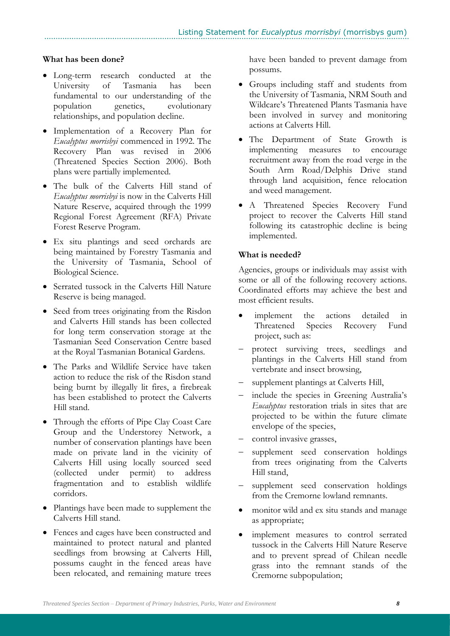## **What has been done?**

- Long-term research conducted at the University of Tasmania has been fundamental to our understanding of the population genetics, evolutionary relationships, and population decline.
- Implementation of a Recovery Plan for *Eucalyptus morrisbyi* commenced in 1992. The Recovery Plan was revised in 2006 (Threatened Species Section 2006). Both plans were partially implemented.
- The bulk of the Calverts Hill stand of *Eucalyptus morrisbyi* is now in the Calverts Hill Nature Reserve, acquired through the 1999 Regional Forest Agreement (RFA) Private Forest Reserve Program.
- Ex situ plantings and seed orchards are being maintained by Forestry Tasmania and the University of Tasmania, School of Biological Science.
- Serrated tussock in the Calverts Hill Nature Reserve is being managed.
- Seed from trees originating from the Risdon and Calverts Hill stands has been collected for long term conservation storage at the Tasmanian Seed Conservation Centre based at the Royal Tasmanian Botanical Gardens.
- The Parks and Wildlife Service have taken action to reduce the risk of the Risdon stand being burnt by illegally lit fires, a firebreak has been established to protect the Calverts Hill stand.
- Through the efforts of Pipe Clay Coast Care Group and the Understorey Network, a number of conservation plantings have been made on private land in the vicinity of Calverts Hill using locally sourced seed (collected under permit) to address fragmentation and to establish wildlife corridors.
- Plantings have been made to supplement the Calverts Hill stand.
- Fences and cages have been constructed and maintained to protect natural and planted seedlings from browsing at Calverts Hill, possums caught in the fenced areas have been relocated, and remaining mature trees

have been banded to prevent damage from possums.

- Groups including staff and students from the University of Tasmania, NRM South and Wildcare's Threatened Plants Tasmania have been involved in survey and monitoring actions at Calverts Hill.
- The Department of State Growth is implementing measures to encourage recruitment away from the road verge in the South Arm Road/Delphis Drive stand through land acquisition, fence relocation and weed management.
- A Threatened Species Recovery Fund project to recover the Calverts Hill stand following its catastrophic decline is being implemented.

#### **What is needed?**

Agencies, groups or individuals may assist with some or all of the following recovery actions. Coordinated efforts may achieve the best and most efficient results.

- implement the actions detailed in Threatened Species Recovery Fund project, such as:
- protect surviving trees, seedlings and plantings in the Calverts Hill stand from vertebrate and insect browsing,
- supplement plantings at Calverts Hill,
- include the species in Greening Australia's *Eucalyptus* restoration trials in sites that are projected to be within the future climate envelope of the species,
- control invasive grasses,
- supplement seed conservation holdings from trees originating from the Calverts Hill stand,
- supplement seed conservation holdings from the Cremorne lowland remnants.
- monitor wild and ex situ stands and manage as appropriate;
- implement measures to control serrated tussock in the Calverts Hill Nature Reserve and to prevent spread of Chilean needle grass into the remnant stands of the Cremorne subpopulation;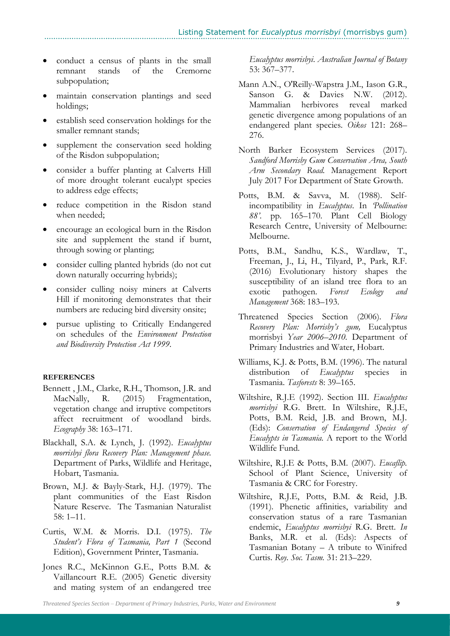- conduct a census of plants in the small remnant stands of the Cremorne subpopulation;
- maintain conservation plantings and seed holdings;
- establish seed conservation holdings for the smaller remnant stands;
- supplement the conservation seed holding of the Risdon subpopulation;
- consider a buffer planting at Calverts Hill of more drought tolerant eucalypt species to address edge effects;
- reduce competition in the Risdon stand when needed;
- encourage an ecological burn in the Risdon site and supplement the stand if burnt, through sowing or planting;
- consider culling planted hybrids (do not cut down naturally occurring hybrids);
- consider culling noisy miners at Calverts Hill if monitoring demonstrates that their numbers are reducing bird diversity onsite;
- pursue uplisting to Critically Endangered on schedules of the *Environment Protection and Biodiversity Protection Act 1999*.

#### **REFERENCES**

- Bennett , J.M., Clarke, R.H., Thomson, J.R. and MacNally, R. (2015) Fragmentation, vegetation change and irruptive competitors affect recruitment of woodland birds. *Ecography* 38: 163–171.
- Blackhall, S.A. & Lynch, J. (1992). *Eucalyptus morrisbyi flora Recovery Plan: Management phase.*  Department of Parks, Wildlife and Heritage, Hobart, Tasmania.
- Brown, M.J. & Bayly-Stark, H.J. (1979). The plant communities of the East Risdon Nature Reserve. The Tasmanian Naturalist 58: 1–11.
- Curtis, W.M. & Morris. D.I. (1975). *The Student's Flora of Tasmania, Part 1* (Second Edition), Government Printer, Tasmania.
- Jones R.C., McKinnon G.E., Potts B.M. & Vaillancourt R.E. (2005) Genetic diversity and mating system of an endangered tree

*Eucalyptus morrisbyi*. *Australian Journal of Botany* 53: 367–377.

- Mann A.N., O'Reilly-Wapstra J.M., Iason G.R., Sanson G. & Davies N.W. (2012). Mammalian herbivores reveal marked genetic divergence among populations of an endangered plant species. *Oikos* 121: 268– 276.
- North Barker Ecosystem Services (2017). *Sandford Morrisby Gum Conservation Area, South Arm Secondary Road.* Management Report July 2017 For Department of State Growth.
- Potts, B.M. & Savva, M. (1988). Selfincompatibility in *Eucalyptus*. In *'Pollination 88'*. pp. 165–170. Plant Cell Biology Research Centre, University of Melbourne: Melbourne.
- Potts, B.M., Sandhu, K.S., Wardlaw, T., Freeman, J., Li, H., Tilyard, P., Park, R.F. (2016) Evolutionary history shapes the susceptibility of an island tree flora to an exotic pathogen. *Forest Ecology and Management* 368: 183–193.
- Threatened Species Section (2006). *Flora Recovery Plan: Morrisby's gum,* Eucalyptus morrisbyi *Year 2006*–*2010.* Department of Primary Industries and Water, Hobart.
- Williams, K.J. & Potts, B.M. (1996). The natural distribution of *Eucalyptus* species in Tasmania. *Tasforests* 8: 39–165.
- Wiltshire, R.J.E (1992). Section III. *Eucalyptus morrisbyi* R.G. Brett. In Wiltshire, R.J.E, Potts, B.M. Reid, J.B. and Brown, M.J. (Eds): *Conservation of Endangered Species of Eucalypts in Tasmania.* A report to the World Wildlife Fund.
- Wiltshire, R.J.E & Potts, B.M. (2007). *Eucaflip.*  School of Plant Science, University of Tasmania & CRC for Forestry.
- Wiltshire, R.J.E, Potts, B.M. & Reid, J.B. (1991). Phenetic affinities, variability and conservation status of a rare Tasmanian endemic, *Eucalyptus morrisbyi* R.G. Brett. *In* Banks, M.R. et al. (Eds): Aspects of Tasmanian Botany – A tribute to Winifred Curtis. *Roy. Soc. Tasm.* 31: 213–229.